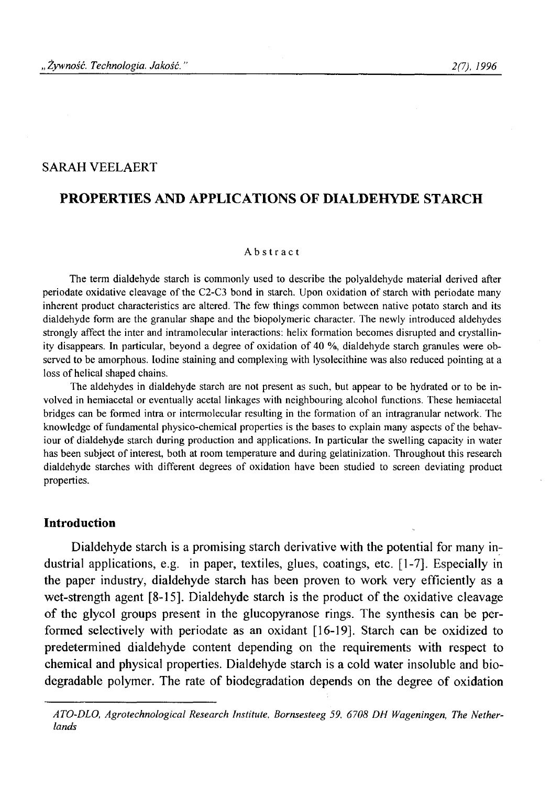# SARAH VEELAERT

## **PROPERTIES AND APPLICATIONS OF DIALDEHYDE STARCH**

#### **Abstract**

**The term dialdehyde starch is commonly used to describe the polyaldehyde material derived after** periodate oxidative cleavage of the C2-C3 bond in starch. Upon oxidation of starch with periodate many **inherent product characteristics are altered. The few things common between native potato starch and its dialdehyde form are the granular shape and the biopolymeric character. The newly introduced aldehydes strongly affect the inter and intramolecular interactions: helix formation becomes disrupted and crystallin**ity disappears. In particular, beyond a degree of oxidation of 40 %, dialdehyde starch granules were ob**served to be amorphous. Iodine staining and complexing with lysolecithine was also reduced pointing at a** loss of helical shaped chains.

**The aldehydes in dialdehyde starch are not present as such, but appear to be hydrated or to be involved in hemiacetal or eventually acetal linkages with neighbouring alcohol functions. These hemiacetal bridges can be formed intra or intermolecular resulting in the formation of an intragranular network. The** knowledge of fundamental physico-chemical properties is the bases to explain many aspects of the behaviour of dialdehyde starch during production and applications. In particular the swelling capacity in water has been subject of interest, both at room temperature and during gelatinization. Throughout this research **dialdehyde starches with different degrees of oxidation have been studied to screen deviating product properties.**

#### **Introduction**

Dialdehyde starch is a promising starch derivative with the potential for many industrial applications, e.g. in paper, textiles, glues, coatings, etc. [1-7]. Especially in the paper industry, dialdehyde starch has been proven to work very efficiently as a wet-strength agent [8-15]. Dialdehyde starch is the product of the oxidative cleavage of the glycol groups present in the glucopyranose rings. The synthesis can be performed selectively with periodate as an oxidant [16-19]. Starch can be oxidized to predetermined dialdehyde content depending on the requirements with respect to chemical and physical properties. Dialdehyde starch is a cold water insoluble and biodegradable polymer. The rate of biodegradation depends on the degree of oxidation

*ATO-DLO, Agrotechnological Research Institute, Bornsesteeg 59, 6708 DH Wageningen, The Netherlands*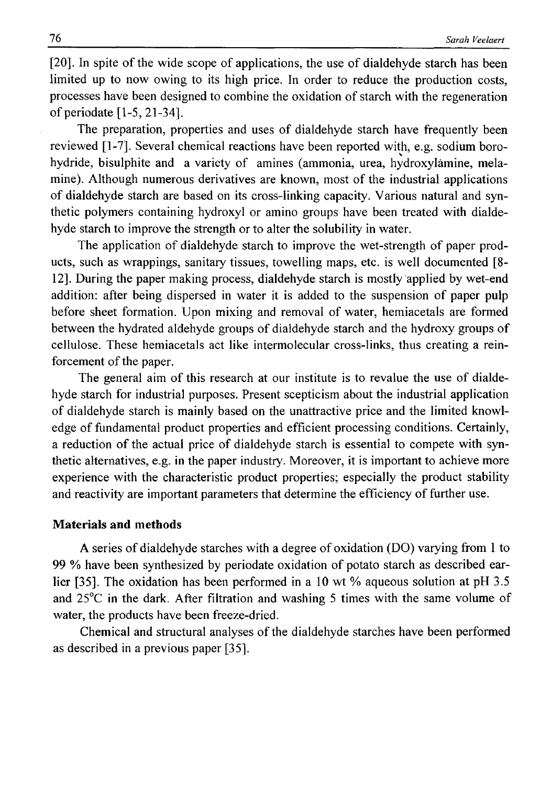[20]. In spite of the wide scope of applications, the use of dialdehyde starch has been limited up to now owing to its high price. In order to reduce the production costs, processes have been designed to combine the oxidation of starch with the regeneration of periodate [1-5, 21-34].

The preparation, properties and uses of dialdehyde starch have frequently been reviewed [1-7]. Several chemical reactions have been reported with, e.g. sodium borohydride, bisulphite and a variety of amines (ammonia, urea, hydroxylamine, melamine). Although numerous derivatives are known, most of the industrial applications of dialdehyde starch are based on its cross-linking capacity. Various natural and synthetic polymers containing hydroxyl or amino groups have been treated with dialdehyde starch to improve the strength or to alter the solubility in water.

The application of dialdehyde starch to improve the wet-strength of paper products, such as wrappings, sanitary tissues, towelling maps, etc. is well documented [8- 12]. During the paper making process, dialdehyde starch is mostly applied by wet-end addition: after being dispersed in water it is added to the suspension of paper pulp before sheet formation. Upon mixing and removal of water, hemiacetals are formed between the hydrated aldehyde groups of dialdehyde starch and the hydroxy groups of cellulose. These hemiacetals act like intermolecular cross-links, thus creating a reinforcement of the paper.

The general aim of this research at our institute is to revalue the use of dialdehyde starch for industrial purposes. Present scepticism about the industrial application of dialdehyde starch is mainly based on the unattractive price and the limited knowledge of fundamental product properties and efficient processing conditions. Certainly, a reduction of the actual price of dialdehyde starch is essential to compete with synthetic alternatives, e.g. in the paper industry. Moreover, it is important to achieve more experience with the characteristic product properties; especially the product stability and reactivity are important parameters that determine the efficiency of further use.

## **Materials and methods**

A series of dialdehyde starches with a degree of oxidation (DO) varying from 1 to 99 % have been synthesized by periodate oxidation of potato starch as described earlier [35]. The oxidation has been performed in a 10 wt % aqueous solution at pH 3.5 and 25°C in the dark. After filtration and washing 5 times with the same volume of water, the products have been freeze-dried.

Chemical and structural analyses of the dialdehyde starches have been performed as described in a previous paper [35].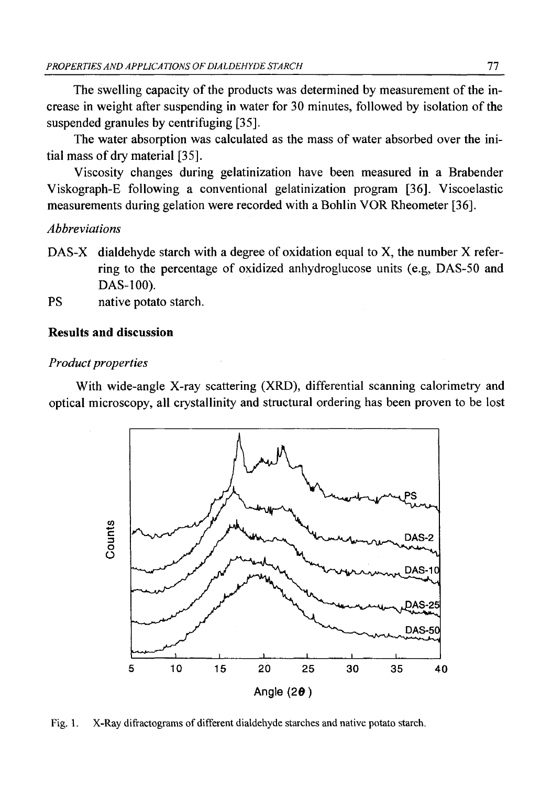The swelling capacity of the products was determined by measurement of the increase in weight after suspending in water for 30 minutes, followed by isolation of the suspended granules by centrifuging [35].

The water absorption was calculated as the mass of water absorbed over the initial mass of dry material [35].

Viscosity changes during gelatinization have been measured in a Brabender Viskograph-E following a conventional gelatinization program [36]. Viscoelastic measurements during gelation were recorded with a Bohlin VOR Rheometer [36].

## *Abbreviations*

- DAS-X dialdehyde starch with a degree of oxidation equal to X, the number X referring to the percentage of oxidized anhydroglucose units (e.g, DAS-50 and DAS-100).
- PS native potato starch.

## **Results and discussion**

### *Product properties*

With wide-angle X-ray scattering (XRD), differential scanning calorimetry and optical microscopy, all crystallinity and structural ordering has been proven to be lost



Fig. 1. X-Ray difractograms of different dialdehyde starches and native potato starch.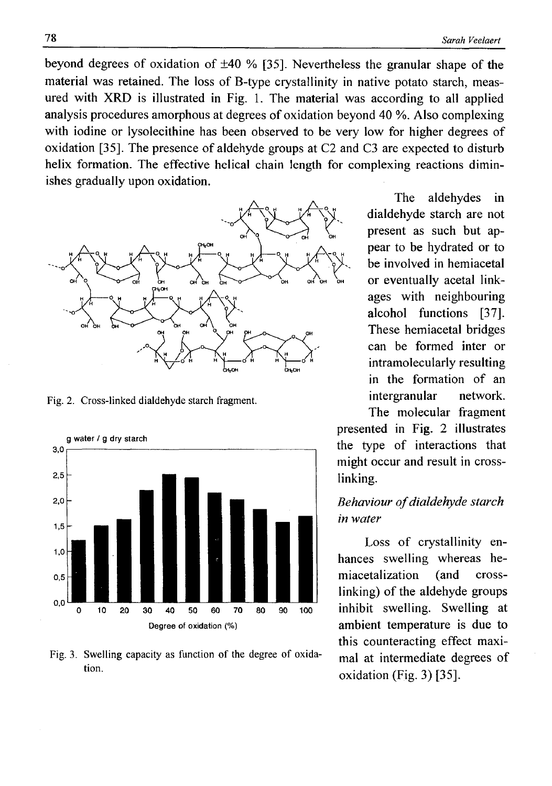beyond degrees of oxidation of ±40 % [35]. Nevertheless the granular shape of the material was retained. The loss of B-type crystallinity in native potato starch, measured with XRD is illustrated in Fig. 1. The material was according to all applied analysis procedures amorphous at degrees of oxidation beyond 40 %. Also complexing with iodine or lysolecithine has been observed to be very low for higher degrees of oxidation [35]. The presence of aldehyde groups at C2 and C3 are expected to disturb helix formation. The effective helical chain length for complexing reactions diminishes gradually upon oxidation.



**Fig. 2. Cross-linked dialdehyde starch fragment.**



Fig. 3. Swelling capacity as function of the degree of oxida**tion.**

The aldehydes in dialdehyde starch are not present as such but appear to be hydrated or to be involved in hemiacetal or eventually acetal linkages with neighbouring alcohol functions [37]. These hemiacetal bridges can be formed inter or intramolecularly resulting in the formation of an intergranular network.

The molecular fragment presented in Fig. 2 illustrates the type of interactions that might occur and result in crosslinking.

# **Behaviour of dialdehyde starch** *in water*

Loss of crystallinity enhances swelling whereas hemiacetalization (and crosslinking) of the aldehyde groups inhibit swelling. Swelling at ambient temperature is due to this counteracting effect maximal at intermediate degrees of oxidation (Fig. 3) [35].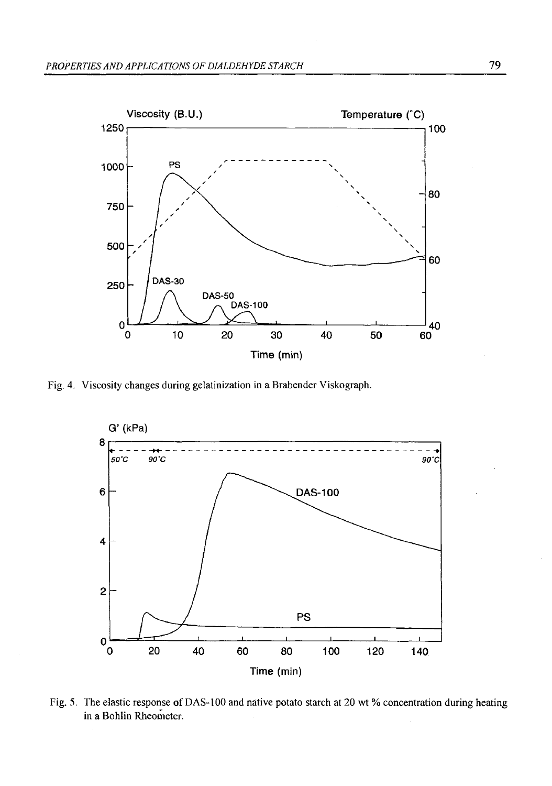

**Fig. 4. Viscosity changes during gelatinization in a Brabender Viskograph.**



Fig. 5. The elastic response of DAS-100 and native potato starch at 20 wt % concentration during heating **in a Bohlin Rheometer.**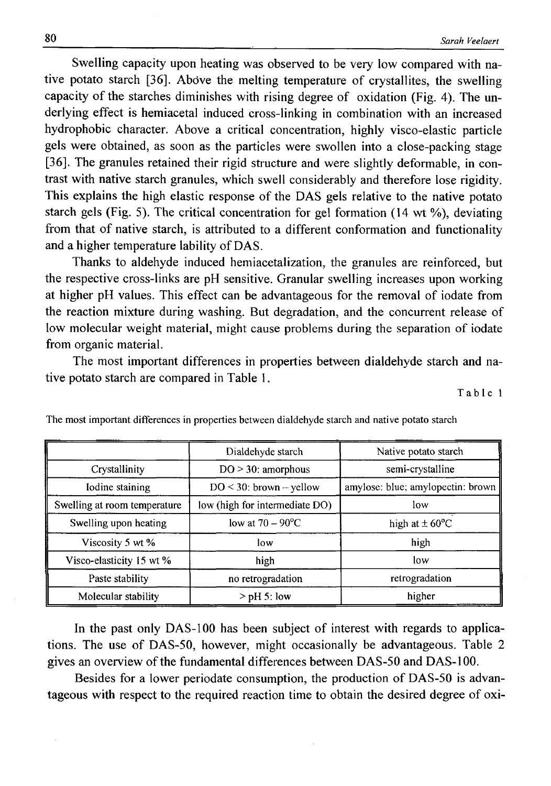Swelling capacity upon heating was observed to be very low compared with native potato starch [36], Abdve the melting temperature of crystallites, the swelling capacity of the starches diminishes with rising degree of oxidation (Fig. 4). The underlying effect is hemiacetal induced cross-linking in combination with an increased hydrophobic character. Above a critical concentration, highly visco-elastic particle gels were obtained, as soon as the particles were swollen into a close-packing stage [36]. The granules retained their rigid structure and were slightly deformable, in contrast with native starch granules, which swell considerably and therefore lose rigidity. This explains the high elastic response of the DAS gels relative to the native potato starch gels (Fig. 5). The critical concentration for gel formation (14 wt %), deviating from that of native starch, is attributed to a different conformation and functionality and a higher temperature lability of DAS.

Thanks to aldehyde induced hemiacetalization, the granules are reinforced, but the respective cross-links are pH sensitive. Granular swelling increases upon working at higher pH values. This effect can be advantageous for the removal of iodate from the reaction mixture during washing. But degradation, and the concurrent release of low molecular weight material, might cause problems during the separation of iodate from organic material.

The most important differences in properties between dialdehyde starch and native potato starch are compared in Table 1.

**Table 1**

|                              | Dialdehyde starch              | Native potato starch              |  |
|------------------------------|--------------------------------|-----------------------------------|--|
| Crystallinity                | $DO > 30$ : amorphous          | semi-crystalline                  |  |
| Iodine staining              | $DO < 30$ : brown - yellow     | amylose: blue; amylopectin: brown |  |
| Swelling at room temperature | low (high for intermediate DO) | low                               |  |
| Swelling upon heating        | low at $70 - 90^{\circ}$ C     | high at $\pm 60^{\circ}$ C        |  |
| Viscosity 5 wt %             | low                            | high                              |  |
| Visco-elasticity 15 wt %     | high                           | low                               |  |
| Paste stability              | no retrogradation              | retrogradation                    |  |
| Molecular stability          | $>$ pH 5: low                  | higher                            |  |

**The most important differences in properties between dialdehyde starch and native potato starch**

In the past only DAS-100 has been subject of interest with regards to applications. The use of DAS-50, however, might occasionally be advantageous. Table 2 gives an overview of the fundamental differences between DAS-50 and DAS-100.

Besides for a lower periodate consumption, the production of DAS-50 is advantageous with respect to the required reaction time to obtain the desired degree of oxi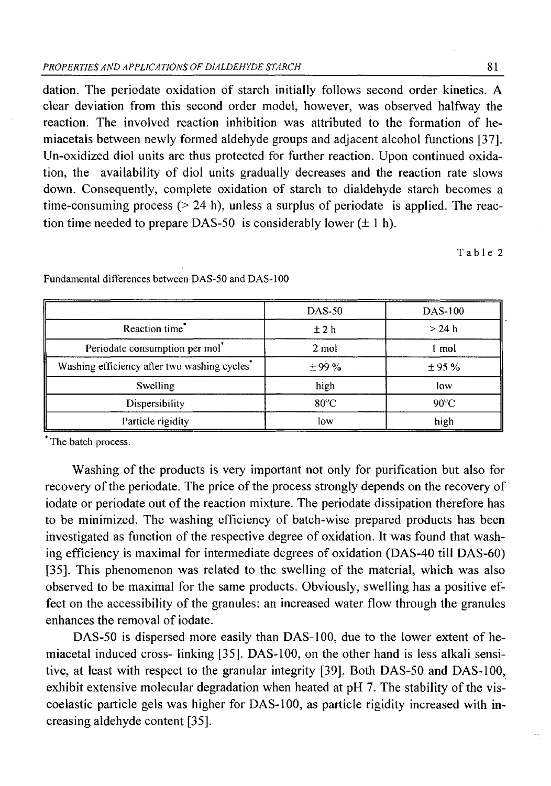dation. The periodate oxidation of starch initially follows second order kinetics. A clear deviation from this second order model, however, was observed halfway the reaction. The involved reaction inhibition was attributed to the formation of hemiacetals between newly formed aldehyde groups and adjacent alcohol functions [37]. Un-oxidized diol units are thus protected for further reaction. Upon continued oxidation, the availability of diol units gradually decreases and the reaction rate slows down. Consequently, complete oxidation of starch to dialdehyde starch becomes a time-consuming process  $(> 24 \text{ h})$ , unless a surplus of periodate is applied. The reaction time needed to prepare DAS-50 is considerably lower  $(\pm 1 h)$ .

**Table 2**

|                                             | <b>DAS-50</b>  | <b>DAS-100</b> |
|---------------------------------------------|----------------|----------------|
| Reaction time*                              | ±2h            | $>24$ h        |
| Periodate consumption per mol <sup>*</sup>  | 2 mol          | . mol          |
| Washing efficiency after two washing cycles | $\pm$ 99 %     | ± 95%          |
| Swelling                                    | high           | low            |
| Dispersibility                              | $80^{\circ}$ C | $90^{\circ}$ C |
| Particle rigidity                           | low            | high           |

Fundamental differences between DAS-50 and DAS-100

**The batch process.**

Washing of the products is very important not only for purification but also for recovery of the periodate. The price of the process strongly depends on the recovery of iodate or periodate out of the reaction mixture. The periodate dissipation therefore has to be minimized. The washing efficiency of batch-wise prepared products has been investigated as function of the respective degree of oxidation. It was found that washing efficiency is maximal for intermediate degrees of oxidation (DAS-40 till DAS-60) [35]. This phenomenon was related to the swelling of the material, which was also observed to be maximal for the same products. Obviously, swelling has a positive effect on the accessibility of the granules: an increased water flow through the granules enhances the removal of iodate.

DAS-50 is dispersed more easily than DAS-100, due to the lower extent of hemiacetal induced cross- linking [35]. DAS-100, on the other hand is less alkali sensitive, at least with respect to the granular integrity [39]. Both DAS-50 and DAS-100, exhibit extensive molecular degradation when heated at pH 7. The stability of the viscoelastic particle gels was higher for DAS-100, as particle rigidity increased with increasing aldehyde content [35].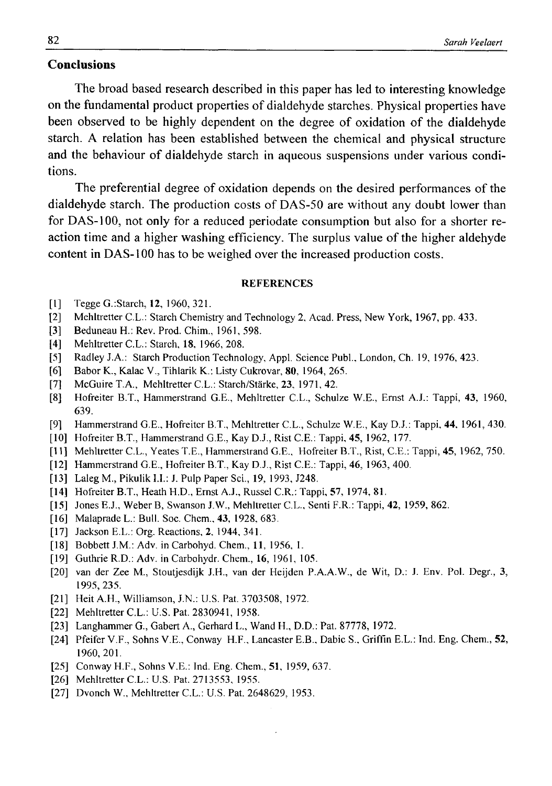## **Conclusions**

The broad based research described in this paper has led to interesting knowledge on the fundamental product properties of dialdehyde starches. Physical properties have been observed to be highly dependent on the degree of oxidation of the dialdehyde starch. A relation has been established between the chemical and physical structure and the behaviour of dialdehyde starch in aqueous suspensions under various conditions.

The preferential degree of oxidation depends on the desired performances of the dialdehyde starch. The production costs of DAS-50 are without any doubt lower than for DAS-100, not only for a reduced periodate consumption but also for a shorter reaction time and a higher washing efficiency. The surplus value of the higher aldehyde content in DAS-100 has to be weighed over the increased production costs.

#### **REFERENCES**

- **[1] Tegge G.:Starch, 12, 1960, 321.**
- **[2] Mehltretter C.L.: Starch Chemistry and Technology 2, Acad. Press, New York, 1967, pp. 433.**
- **[3] Beduneau H.: Rev. Prod. Chim., 1961, 598.**
- **[4] Mehltretter C.L.: Starch, 18, 1966, 208.**
- **[5] Radley J.A.: Starch Production Technology, Appl. Science Publ., London, Ch. 19, 1976, 423.**
- **[6] Babor K., Kalać V., Tihlarik K.: Listy Cukrovar, 80, 1964, 265.**
- **[7] McGuire T.A., Mehltretter C.L.: Starch/Starke, 23, 1971, 42.**
- **[8] Hofreiter B.T., Hammerstrand G.E., Mehltretter C.L., Schulze W.E., Ernst A.J.: Tappi, 43, 1960, 639.**
- **[9] Hammerstrand G.E., Hofreiter B.T., Mehltretter C.L., Schulze W.E., Kay D.J.: Tappi, 44, 1961, 430.**
- **[10] Hofreiter B.T., Hammerstrand G.E., Kay D.J., Rist C.E.: Tappi, 45, 1962, 177.**
- **[11] Mehltretter C.L., Yeates T.E., Hammerstrand G.E., Hofreiter B.T., Rist, C.E.: Tappi, 45, 1962, 750.**
- **[12] Hammerstrand G.E., Hofreiter B.T., Kay D.J., Rist C.E.: Tappi, 46, 1963, 400.**
- **[13] Laleg M., Pikulik I.I.: J. Pulp Paper Sci., 19, 1993, J248.**
- **[14] Hofreiter B.T., Heath H.D., Ernst A.J., Russel C.R.: Tappi, 57, 1974, 81.**
- **[15] Jones E.J., Weber B, Swanson J.W., Mehltretter C.L., Senti F.R.: Tappi, 42, 1959, 862.**
- **[16] Malaprade L.: Bull. Soc. Chem., 43, 1928, 683.**
- **[17] Jackson E.L.: Org. Reactions, 2, 1944, 341.**
- **[18] Bobbett J.M.: Adv. in Carbohyd. Chem., 11, 1956, 1.**
- **[19] Guthrie R.D.: Adv. in Carbohydr. Chem., 16, 1961, 105.**
- **[20] van der Zee M., Stoutjesdijk J.H., van der Heijden P.A.A.W., de Wit, D.: J. Env. Pol. Degr., 3, 1995, 235.**
- **[21] Heit A.H., Williamson, J.N.: U.S. Pat. 3703508, 1972.**
- **[22] Mehltretter C.L.: U.S. Pat. 2830941, 1958.**
- **[23] Langhammer G., Gabert A., Gerhard L., Wand H., D.D.: Pat. 87778, 1972.**
- **[24] Pfeifer V.F., Sohns V.E., Conway H.F., Lancaster E.B., Dabic S., Griffin E.L.: Ind. Eng. Chem., 52, 1960, 201.**
- **[25] Conway H.F., Sohns V.E.: Ind. Eng. Chem., 51, 1959, 637.**
- **[26] Mehltretter C.L.: U.S. Pat. 2713553, 1955.**
- [27] Dvonch W., Mehltretter C.L.: U.S. Pat. 2648629, 1953.